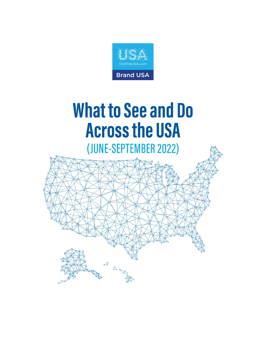

# **What to See and Do Across the USA**

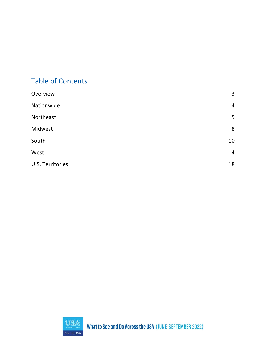# Table of Contents

| Overview                | $\overline{3}$ |
|-------------------------|----------------|
| Nationwide              | $\overline{4}$ |
| Northeast               | 5              |
| Midwest                 | 8              |
| South                   | 10             |
| West                    | 14             |
| <b>U.S. Territories</b> | 18             |
|                         |                |

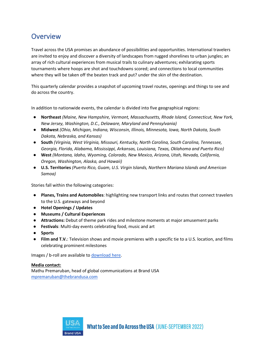## <span id="page-2-0"></span>**Overview**

Travel across the USA promises an abundance of possibilities and opportunities. International travelers are invited to enjoy and discover a diversity of landscapes from rugged shorelines to urban jungles; an array of rich cultural experiences from musical trails to culinary adventures; exhilarating sports tournaments where hoops are shot and touchdowns scored; and connections to local communities where they will be taken off the beaten track and put? under the skin of the destination.

This quarterly calendar provides a snapshot of upcoming travel routes, openings and things to see and do across the country.

In addition to nationwide events, the calendar is divided into five geographical regions:

- **Northeast** *(Maine, New Hampshire, Vermont, Massachusetts, Rhode Island, Connecticut, New York, New Jersey, Washington, D.C., Delaware, Maryland and Pennsylvania)*
- **Midwest** *(Ohio, Michigan, Indiana, Wisconsin, Illinois, Minnesota, Iowa, North Dakota, South Dakota, Nebraska, and Kansas)*
- **South** *(Virginia, West Virginia, Missouri, Kentucky, North Carolina, South Carolina, Tennessee, Georgia, Florida, Alabama, Mississippi, Arkansas, Louisiana, Texas, Oklahoma and Puerto Rico)*
- **West** *(Montana, Idaho, Wyoming, Colorado, New Mexico, Arizona, Utah, Nevada, California, Oregon, Washington, Alaska, and Hawaii)*
- **U.S. Territories** *(Puerto Rico, Guam, U.S. Virgin Islands, Northern Mariana Islands and American Samoa)*

Stories fall within the following categories:

- **Planes, Trains and Automobiles**: highlighting new transport links and routes that connect travelers to the U.S. gateways and beyond
- **Hotel Openings / Updates**
- **Museums / Cultural Experiences**
- **Attractions:** Debut of theme park rides and milestone moments at major amusement parks
- **Festivals**: Multi-day events celebrating food, music and art
- **Sports**
- **Film and T.V.**: Television shows and movie premieres with a specific tie to a U.S. location, and films celebrating prominent milestones

Images / b-roll are available to [download here.](https://brandusa.mediavalet.com/)

#### **Media contact:**

Mathu Premaruban, head of global communications at Brand USA [mpremaruban@thebrandusa.com](mailto:mpremaruban@thebrandusa.com)

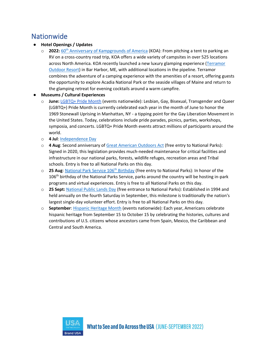# <span id="page-3-0"></span>**Nationwide**

#### ● **Hotel Openings / Updates**

- o **2022:** [60](https://koa.com/blog/koa-celebrates-60-years-of-inviting-campers-outdoors/)[th](https://koa.com/blog/koa-celebrates-60-years-of-inviting-campers-outdoors/) [Anniversary of Kampgrounds of America](https://koa.com/blog/koa-celebrates-60-years-of-inviting-campers-outdoors/) (KOA): From pitching a tent to parking an RV on a cross-country road trip, KOA offers a wide variety of campsites in over 525 locations across North America. KOA recently launched a new luxury glamping experience [\(Terramor](https://terramoroutdoorresort.com/)  [Outdoor Resort\)](https://terramoroutdoorresort.com/) in Bar Harbor, ME, with additional locations in the pipeline. Terramor combines the adventure of a camping experience with the amenities of a resort, offering guests the opportunity to explore Acadia National Park or the seaside villages of Maine and return to the glamping retreat for evening cocktails around a warm campfire.
- **Museums / Cultural Experiences**
	- o **June:** [LGBTQ+ Pride Month](https://www.loc.gov/lgbt-pride-month/about/) (events nationwide): Lesbian, Gay, Bisexual, Transgender and Queer (LGBTQ+) Pride Month is currently celebrated each year in the month of June to honor the 1969 Stonewall Uprising in Manhattan, NY - a tipping point for the Gay Liberation Movement in the United States. Today, celebrations include pride parades, picnics, parties, workshops, symposia, and concerts. LGBTQ+ Pride Month events attract millions of participants around the world.
	- o **4 Jul**: [Independence Day](https://www.britannica.com/topic/Independence-Day-United-States-holiday)
	- o **4 Aug**: Second anniversary of [Great American Outdoors Act](https://www.nps.gov/subjects/legal/great-american-outdoors-act.htm) (free entry to National Parks): Signed in 2020, this legislation provides much-needed maintenance for critical facilities and infrastructure in our national parks, forests, wildlife refuges, recreation areas and Tribal schools. Entry is free to all National Parks on this day.
	- o **25 Aug**: [National Park Service 106](https://www.nps.gov/subjects/npscelebrates/nps-birthday.htm)[th](https://www.nps.gov/subjects/npscelebrates/nps-birthday.htm) [Birthday](https://www.nps.gov/subjects/npscelebrates/nps-birthday.htm) (free entry to National Parks): In honor of the 106<sup>th</sup> birthday of the National Parks Service, parks around the country will be hosting in-park programs and virtual experiences. Entry is free to all National Parks on this day.
	- o **25 Sept:** [National Public Lands Day](https://www.nps.gov/subjects/npscelebrates/public-lands-day.htm) (free entrance to National Parks): Established in 1994 and held annually on the fourth Saturday in September, this milestone is traditionally the nation's largest single-day volunteer effort. Entry is free to all National Parks on this day.
	- o **September**: [Hispanic Heritage Month](https://www.hispanicheritagemonth.gov/) (events nationwide): Each year, Americans celebrate hispanic heritage from September 15 to October 15 by celebrating the histories, cultures and contributions of U.S. citizens whose ancestors came from Spain, Mexico, the Caribbean and Central and South America.

<span id="page-3-1"></span>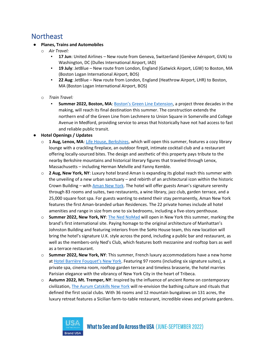## Northeast

#### ● **Planes, Trains and Automobiles**

- o *Air Travel:*
	- **17 Jun**: United Airlines New route from Geneva, Switzerland (Genève Aéroport, GVA) to Washington, DC (Dulles International Airport, IAD)
	- 19 July: JetBlue New route from London, England (Gatwick Airport, LGW) to Boston, MA (Boston Logan International Airport, BOS)
	- **22 Aug**: JetBlue New route from London, England (Heathrow Airport, LHR) to Boston, MA (Boston Logan International Airport, BOS)
- o *Train Travel:*
	- **EXECTE 2022, Boston, MA: [Boston's Green Line Extension](https://www.mbta.com/projects/green-line-extension-glx), a project three decades in the** making, will reach its final destination this summer. The construction extends the northern end of the Green Line from Lechmere to Union Square in Somerville and College Avenue in Medford, providing service to areas that historically have not had access to fast and reliable public transit.
- **Hotel Openings / Updates**
	- o **1 Aug, Lenox, MA**: [Life House, Berkshires,](https://www.lifehousehotels.com/hotels/berkshires/lenox) which will open this summer, features a cozy library lounge with a crackling fireplace, an outdoor firepit, intimate cocktail club and a restaurant offering locally-sourced bites. The design and aesthetic of this property pays tribute to the nearby Berkshire mountains and historical literary figures that traveled through Lenox, Massachusetts – including Herman Melville and Fanny Kemble.
	- o **2 Aug, New York, NY**: Luxury hotel brand Aman is expanding its global reach this summer with the unveiling of a new urban sanctuary – and rebirth of an architectural icon within the historic Crown Building – with [Aman New York](https://www.aman.com/hotels/aman-new-york). The hotel will offer guests Aman's signature serenity through 83 rooms and suites, two restaurants, a wine library, jazz club, garden terrace, and a 25,000 square foot spa. For guests wanting to extend their stay permanently, Aman New York features the first Aman-branded urban Residences. The 22 private homes include all hotel amenities and range in size from one to six bedrooms, including a five-story penthouse.
	- o **Summer 2022, New York, NY**: [The Ned NoMad](https://www.thened.com/) will open in New York this summer, marking the brand's first international site. Paying homage to the original architecture of Manhattan's Johnston Building and featuring interiors from the SoHo House team, this new location will bring the hotel's signature U.K. style across the pond, including a public bar and restaurant, as well as the members-only Ned's Club, which features both mezzanine and rooftop bars as well as a terrace restaurant.
	- o **Summer 2022, New York, NY**: This summer, French luxury accommodations have a new home at [Hotel Barrière Fouquet's New York](https://www.hotelsbarriere.com/fr/new-york/fouquets.html). Featuring 97 rooms (including six signature suites), a private spa, cinema room, rooftop garden terrace and timeless brasserie, the hotel marries Parisian elegance with the vibrancy of New York City in the heart of Tribeca.
	- o **Autumn 2022, Mt. Tremper, NY**: Inspired by the influence of ancient Rome on contemporary civilization, [The Aurum Catskills New York](https://www.theaurum.com/) will re-envision the bathing culture and rituals that defined the first social clubs. With 36 rooms and 12 mountain bungalows on 131 acres, the luxury retreat features a Sicilian farm-to-table restaurant, incredible views and private gardens.

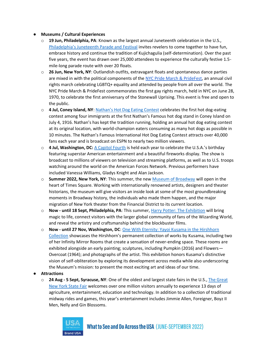#### ● **Museums / Cultural Experiences**

- o **19 Jun, Philadelphia, PA**: Known as the largest annual Juneteenth celebration in the U.S., [Philadelphia](https://juneteenthphilly.org/)['s Juneteenth Parade and Festival](https://juneteenthphilly.org/) invites revelers to come together to have fun, embrace history and continue the tradition of Kujichagulia (self-determination). Over the past five years, the event has drawn over 25,000 attendees to experience the culturally festive 1.5 mile-long parade route with over 20 floats.
- o **26 Jun, New York, NY**: Outlandish outfits, extravagant floats and spontaneous dance parties are mixed in with the political components of the [NYC Pride March & PrideFest,](https://www.nycpride.org/) an annual civil rights march celebrating LGBTQ+ equality and attended by people from all over the world. The NYC Pride March & PrideFest commemorates the first gay rights march, held in NYC on June 28, 1970, to celebrate the first anniversary of the Stonewall Uprising. This event is free and open to the public.
- o **4 Jul, Coney Island, NY**: [Nathan's Hot Dog Eating Contest](https://nathansfranks.sfdbrands.com/en-us/promotions/hot-dog-eating-contest/) celebrates the first hot dog-eating contest among four immigrants at the first Nathan's Famous hot dog stand in Coney Island on July 4, 1916. Nathan's has kept the tradition running, holding an annual hot dog eating contest at its original location, with world-champion eaters consuming as many hot dogs as possible in 10 minutes. The Nathan's Famous International Hot Dog Eating Contest attracts over 40,000 fans each year and is broadcast on ESPN to nearly two million viewers.
- o **4 Jul, Washington, DC:** [A Capitol Fourth](https://www.pbs.org/a-capitol-fourth/) is held each year to celebrate the U.S.A.'s birthday featuring superstar American entertainment and a beautiful fireworks display. The show is broadcast to millions of viewers on television and streaming platforms, as well as to U.S. troops watching around the world on the American Forces Network. Previous performers have included Vanessa Williams, Gladys Knight and Alan Jackson.
- o **Summer 2022, New York, NY**: This summer, the ne[w Museum of Broadway](https://www.themuseumofbroadway.com/#:~:text=The%20Museum%20of%20Broadway%20is,45th%20Street%2C%20New%20York%2C%20NY) will open in the heart of Times Square. Working with internationally renowned artists, designers and theater historians, the museum will give visitors an inside look at some of the most groundbreaking moments in Broadway history, the individuals who made them happen, and the major migration of New York theater from the Financial District to its current location.
- o **Now - until 18 Sept, Philadelphia, PA**: This summer[, Harry Potter: The Exhibition](https://www.fi.edu/exhibits/harry-potter) will bring magic to life, connect visitors with the larger global community of fans of the Wizarding World, and reveal the artistry and craftsmanship behind the blockbuster films.
- o **Now - until 27 Nov, Washington, DC**[: One With Eternity: Yayoi Kusama in the Hirshhorn](https://hirshhorn.si.edu/exhibitions/one-with-eternity-yayoi-kusama-in-the-hirshhorn-collection/)  [Collection](https://hirshhorn.si.edu/exhibitions/one-with-eternity-yayoi-kusama-in-the-hirshhorn-collection/) showcases the Hirshhorn's permanent collection of works by Kusama, including two of her Infinity Mirror Rooms that create a sensation of never-ending space. These rooms are exhibited alongside an early painting; sculptures, including Pumpkin (2016) and Flowers— Overcoat (1964); and photographs of the artist. This exhibition honors Kusama's distinctive vision of self-obliteration by exploring its development across media while also underscoring the Museum's mission: to present the most exciting art and ideas of our time.

#### ● **Attractions**

o **24 Aug - 5 Sept, Syracuse, NY**: One of the oldest and largest state fairs in the U.S., [The Great](https://nysfair.ny.gov/)  [New York State Fair](https://nysfair.ny.gov/) welcomes over one million visitors annually to experience 13 days of agriculture, entertainment, education and technology. In addition to a collection of traditional midway rides and games, this year's entertainment includes Jimmie Allen, Foreigner, Boyz II Men, Nelly and Gin Blossoms.

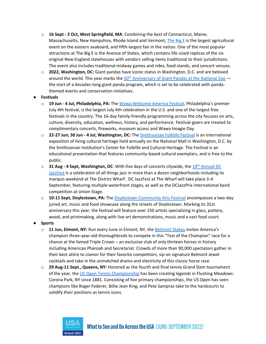- o **16 Sept - 2 Oct, West Springfield, MA**: Combining the best of Connecticut, Maine, Massachusetts, New Hampshire, Rhode Island and Vermont, [The Big E](https://www.thebige.com/) is the largest agricultural event on the eastern seaboard, and fifth-largest fair in the nation. One of the most popular attractions at The Big E is the Avenue of States, which contains life-sized replicas of the six original New England statehouses with vendors selling items traditional to their jurisdictions. The event also includes traditional midway games and rides, food stands, and concert venues.
- o **2022, Washington, DC:** Giant pandas have iconic status in Washington, D.C. and are beloved around [th](https://nationalzoo.si.edu/animals/celebrating-50-years-giant-pandas)e world. This year marks the  $50<sup>th</sup>$  [Anniversary of Giant Pandas at the National Zoo](https://nationalzoo.si.edu/animals/celebrating-50-years-giant-pandas)  $$ the start of a decades-long giant panda program, which is set to be celebrated with pandathemed events and conservation initiatives.

#### ● **Festivals**

- o **19 Jun - 4 Jul, Philadelphia, PA:** Th[e Wawa Welcome America Festival,](https://welcomeamerica.com/) Philadelphia's premier July 4th festival, is the largest July 4th celebration in the U.S. and one of the largest free festivals in the country. The 16-day family-friendly programming across the city focuses on arts, culture, diversity, education, wellness, history, and performance. Festival-goers are treated to complimentary concerts, fireworks, museum access and Wawa Hoagie Day.
- o **22-27 Jun; 30 Jun - 4 Jul, Washington, DC:** Th[e Smithsonian Folklife Festival](https://festival.si.edu/) is an international exposition of living cultural heritage held annually on the National Mall in Washington, D.C. by the Smithsonian Institution's Center for Folklife and Cultural Heritage. The Festival is an educational presentation that features community-based cultural exemplars, and is free to the public.
- o **31 Aug - 4 Sept, Washington, DC**: With five days of concerts citywide, the [18](https://www.dcjazzfest.org/)[th](https://www.dcjazzfest.org/) [Annual DC](https://www.dcjazzfest.org/)  [JazzFest](https://www.dcjazzfest.org/) is a celebration of all things jazz in more than a dozen neighborhoods including its marquis weekend at The District Wharf. DC JazzFest at The Wharf will take place 3-4 September, featuring multiple waterfront stages, as well as the DCJazzPrix international band competition at Union Stage.
- o **10-11 Sept, Doylestown, PA:** The [Doylestown Community Arts Festival](https://dtownartsfestival.com/) encompasses a two-day juried art, music and food showcase along the streets of Doylestown. Marking its 31st anniversary this year, the festival will feature over 150 artists specializing in glass, pottery, wood, and printmaking, along with live art demonstrations, music and a vast food court.
- **Sports**
	- o **11 Jun, Elmont, NY:** Run every June in Elmont, NY, th[e Belmont Stakes](https://www.belmontstakes.com/) invites America's champion three-year-old thoroughbreds to compete in this "Test of the Champion" race for a chance at the famed Triple Crown – an exclusive club of only thirteen horses in history including American Pharoah and Secretariat. Crowds of more than 90,000 spectators gather in their best attire to clamor for their favorite competitors, sip on signature Belmont Jewel cocktails and take in the unmatched drama and electricity of this classic horse race.
	- o **29 Aug-11 Sept., Queens, NY:** Honored as the fourth and final tennis Grand Slam tournament of the year, the [US Open Tennis Championship](https://www.usopen.org/index.html) has been creating legends in Flushing Meadows-Corona Park, NY since 1881. Consisting of five primary championships, the US Open has seen champions like Roger Federer, Billie Jean King, and Pete Sampras take to the hardcourts to solidify their positions as tennis icons.

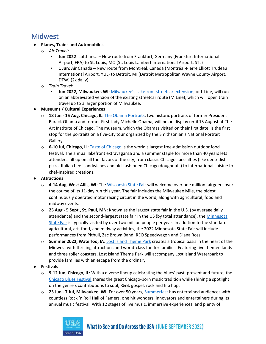## <span id="page-7-0"></span>**Midwest**

#### ● **Planes, Trains and Automobiles**

- o *Air Travel:*
	- **Jun 2022**: Lufthansa New route from Frankfurt, Germany (Frankfurt International Airport, FRA) to St. Louis, MO (St. Louis Lambert International Airport, STL)
	- **1 Jun**: Air Canada New route from Montreal, Canada (Montréal-Pierre Elliott Trudeau International Airport, YUL) to Detroit, MI (Detroit Metropolitan Wayne County Airport, DTW) (2x daily)
- o *Train Travel:*
	- **Jun 2022, Milwaukee, WI:** [Milwaukee's Lakefront streetcar extension](https://thehopmke.com/), or L Line, will run on an abbreviated version of the existing streetcar route (M Line), which will open train travel up to a larger portion of Milwaukee.
- **Museums / Cultural Experiences**
	- o **18 Jun - 15 Aug, Chicago, IL**[: The Obama Portraits,](https://www.artic.edu/exhibitions/9507/the-obama-portraits) two historic portraits of former President Barack Obama and former First Lady Michelle Obama, will be on display until 15 August at The Art Institute of Chicago. The museum, which the Obamas visited on their first date, is the first stop for the portraits on a five-city tour organized by the Smithsonian's National Portrait Gallery.
	- o **6-10 Jul, Chicago, IL**[: Taste of Chicago](https://www.chicago.gov/city/en/depts/dca/supp_info/taste_of_chicago.html) is the world's largest free-admission outdoor food festival. The annual lakefront extravaganza and a summer staple for more than 40 years lets attendees fill up on all the flavors of the city, from classic Chicago specialties (like deep-dish pizza, Italian beef sandwiches and old-fashioned Chicago doughnuts) to international cuisine to chef-inspired creations.
- **Attractions**
	- o **4-14 Aug, West Allis, WI**: Th[e Wisconsin State Fair](https://wistatefair.com/fair/) will welcome over one million fairgoers over the course of its 11-day run this year. The fair includes the Milwaukee Mile, the oldest continuously operated motor racing circuit in the world, along with agricultural, food and midway events.
	- o **25 Aug - 5 Sept., St. Paul, MN**: Known as the largest state fair in the U.S. (by average daily attendance) and the second-largest state fair in the US (by total attendance), the [Minnesota](https://www.mnstatefair.org/)  [State Fair](https://www.mnstatefair.org/) is typically visited by over two million people per year. In addition to the standard agricultural, art, food, and midway activities, the 2022 Minnesota State Fair will include performances from Pitbull, Zac Brown Band, REO Speedwagon and Diana Ross.
	- o **Summer 2022, Waterloo, IA**[: Lost Island Theme Park](https://www.thelostisland.com/amusement-park/) creates a tropical oasis in the heart of the Midwest with thrilling attractions and world-class fun for families. Featuring five themed lands and three roller coasters, Lost Island Theme Park will accompany Lost Island Waterpark to provide families with an escape from the ordinary.
- **Festivals**
	- o **9-12 Jun, Chicago, IL**: With a diverse lineup celebrating the blues' past, present and future, the [Chicago Blues Festival](https://www.chicago.gov/city/en/depts/dca/supp_info/chicago_blues_festival.html) shares the great Chicago-born music tradition while shining a spotlight on the genre's contributions to soul, R&B, gospel, rock and hip hop.
	- o **23 Jun - 7 Jul, Milwaukee, WI**: For over 50 years[, Summerfest](https://www.summerfest.com/lineup/) has entertained audiences with countless Rock 'n Roll Hall of Famers, one hit wonders, innovators and entertainers during its annual music festival. With 12 stages of live music, immersive experiences, and plenty of

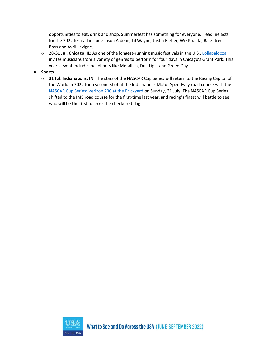opportunities to eat, drink and shop, Summerfest has something for everyone. Headline acts for the 2022 festival include Jason Aldean, Lil Wayne, Justin Bieber, Wiz Khalifa, Backstreet Boys and Avril Lavigne.

o **28-31 Jul, Chicago, IL**: As one of the longest-running music festivals in the U.S.[, Lollapalooza](https://www.lollapalooza.com/) invites musicians from a variety of genres to perform for four days in Chicago's Grant Park. This year's event includes headliners like Metallica, Dua Lipa, and Green Day.

#### ● **Sports**

<span id="page-8-0"></span>o **31 Jul, Indianapolis, IN**: The stars of the NASCAR Cup Series will return to the Racing Capital of the World in 2022 for a second shot at the Indianapolis Motor Speedway road course with the [NASCAR Cup Series: Verizon 200 at the Brickyard](https://www.indianapolismotorspeedway.com/events/brickyard) on Sunday, 31 July. The NASCAR Cup Series shifted to the IMS road course for the first-time last year, and racing's finest will battle to see who will be the first to cross the checkered flag.

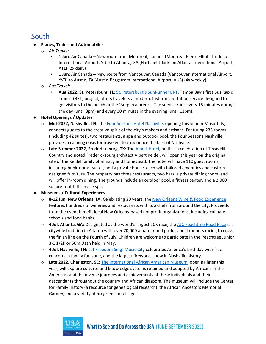# South

#### ● **Planes, Trains and Automobiles**

- o *Air Travel:*
	- **1 Jun**: Air Canada New route from Montreal, Canada (Montréal-Pierre Elliott Trudeau International Airport, YUL) to Atlanta, GA (Hartsfield-Jackson Atlanta International Airport, ATL) (2x daily)
	- **1 Jun**: Air Canada New route from Vancouver, Canada (Vancouver International Airport, YVR) to Austin, TX (Austin-Bergstrom International Airport, AUS) (4x weekly)
- o *Bus Travel:*
	- **Aug 2022, St. Petersburg, FL**: [St. Petersburg's SunRunner BRT,](https://psta.net/about-psta/projects/sunrunner/) Tampa Bay's first Bus Rapid Transit (BRT) project, offers travelers a modern, fast transportation service designed to get visitors to the beach or the 'Burg in a breeze. The service runs every 15 minutes during the day (until 8pm) and every 30 minutes in the evening (until 11pm).

#### ● **Hotel Openings / Updates**

- o **Mid-2022, Nashville, TN**: The [Four Seasons Hotel Nashville,](https://www.fourseasons.com/nashville/) opening this year in Music City, connects guests to the creative spirit of the city's makers and artisans. Featuring 235 rooms (including 42 suites), two restaurants, a spa and outdoor pool, the Four Seasons Nashville provides a calming oasis for travelers to experience the best of Nashville.
- o **Late Summer 2022, Fredericksburg, TX**: The [Albert Hotel,](https://newwaterloo.com/our-places/albert-hotel) built as a celebration of Texas Hill Country and noted Fredericksburg architect Albert Keidel, will open this year on the original site of the Keidel family pharmacy and homestead. The hotel will have 110 guest rooms, including bunkrooms, suites, and a private house, each with tailored amenities and customdesigned furniture. The property has three restaurants, two bars, a private dining room, and will offer in-room dining. The grounds include an outdoor pool, a fitness center, and a 2,000 square-foot full-service spa.

#### ● **Museums / Cultural Experiences**

- o **8-12 Jun, New Orleans, LA**: Celebrating 30 years, th[e New Orleans Wine & Food Experience](https://www.nowfe.com/) features hundreds of wineries and restaurants with top chefs from around the city. Proceeds from the event benefit local New Orleans-based nonprofit organizations, including culinary schools and food banks.
- o **4 Jul, Atlanta, GA:** Designated as the world's largest 10K race, the [AJC Peachtree Road Race](https://www.atlantatrackclub.org/peachtree) is a citywide tradition in Atlanta with over 70,000 amateur and professional runners racing to cross the finish line on the Fourth of July. Children are welcome to participate in the Peachtree Junior 3K, 1/2K or 50m Dash held in May.
- o **4 Jul, Nashville, TN:** [Let Freedom Sing! Music City](https://www.visitmusiccity.com/july4th) celebrates America's birthday with free concerts, a family fun zone, and the largest fireworks show in Nashville history.
- o **Late 2022, Charleston, SC:** [The International African American Museum,](https://iaamuseum.org/museum/) opening later this year, will explore cultures and knowledge systems retained and adapted by Africans in the Americas, and the diverse journeys and achievements of these individuals and their descendants throughout the country and African diaspora. The museum will include the Center for Family History (a resource for genealogical research), the African Ancestors Memorial Garden, and a variety of programs for all ages.

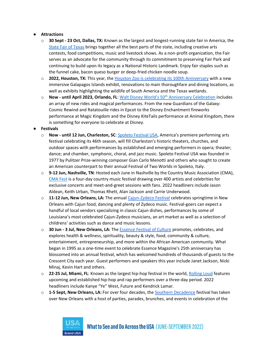#### ● **Attractions**

- o **30 Sept - 23 Oct, Dallas, TX:** Known as the largest and longest-running state fair in America, the [State Fair of Texas](https://bigtex.com/) brings together all the best parts of the state, including creative arts contests, food competitions, music and livestock shows. As a non-profit organization, the Fair serves as an advocate for the community through its commitment to preserving Fair Park and continuing to build upon its legacy as a National Historic Landmark. Enjoy fair staples such as the funnel cake, bacon queso burger or deep-fried chicken noodle soup.
- o **2022, Houston, TX:** This year, the [Houston Zoo is celebrating its 100th Anniversary](https://www.houstonzoo.org/blog/launching-2022-new-zoo/) with a new immersive Galapagos Islands exhibit, renovations to main thoroughfare and dining locations, as well as exhibits highlighting the wildlife of South America and the Texas wetlands.
- o **Now - until April 2023, Orlando, FL**: [Walt Disney World's 50](https://disneyworld.disney.go.com/50th-anniversary/)[th](https://disneyworld.disney.go.com/50th-anniversary/) [Anniversary Celebration](https://disneyworld.disney.go.com/50th-anniversary/) includes an array of new rides and magical performances. From the new Guardians of the Galaxy: Cosmic Rewind and Ratatouille rides in Epcot to the Disney Enchantment fireworks performance at Magic Kingdom and the Disney KiteTails performance at Animal Kingdom, there is something for everyone to celebrate at Disney.

#### ● **Festivals**

- o **Now - until 12 Jun, Charleston, SC**[: Spoleto Festival USA](https://spoletousa.org/), America's premiere performing arts festival celebrating its 46th season, will fill Charleston's historic theaters, churches, and outdoor spaces with performances by established and emerging performers in opera; theater; dance; and chamber, symphonic, choral, and jazz music. Spoleto Festival USA was founded in 1977 by Pulitzer Prize-winning composer Gian Carlo Menotti and others who sought to create an American counterpart to their annual Festival of Two Worlds in Spoleto, Italy.
- o **9-12 Jun, Nashville, TN**: Hosted each June in Nashville by the Country Music Association (CMA), [CMA Fest](https://cmafest.com/) is a four-day country music festival drawing over 400 artists and celebrities for exclusive concerts and meet-and-greet sessions with fans. 2022 headliners include Jason Aldean, Keith Urban, Thomas Rhett, Alan Jackson and Carrie Underwood.
- o **11-12 Jun, New Orleans, LA:** The annual [Cajun-Zydeco Festival](https://www.neworleans.com/event/cajun-zydeco-festival/3313/) celebrates springtime in New Orleans with Cajun food, dancing and plenty of Zydeco music. Festival-goers can expect a handful of local vendors specializing in classic Cajun dishes, performances by some of Louisiana's most celebrated Cajun-Zydeco musicians, an art market as well as a selection of childrens' activities such as dance and music lessons.
- o **30 Jun - 3 Jul, New Orleans, LA:** Th[e Essence Festival of Culture](https://www.neworleans.com/things-to-do/festivals/multicultural/essence/the-ultimate-essence-fest-guide/) promotes, celebrates, and explores health & wellness, spirituality, beauty & style, food, community & culture, entertainment, entrepreneurship, and more within the African American community. What began in 1995 as a one-time event to celebrate Essence Magazine's 25th anniversary has blossomed into an annual festival, which has welcomed hundreds of thousands of guests to the Crescent City each year. Guest performers and speakers this year include Janet Jackson, Nicki Minaj, Kevin Hart and others.
- o **22-25 Jul, Miami, FL**: Known as the largest hip-hop festival in the world, [Rolling Loud](https://www.rollingloud.com/) features upcoming and established hip-hop and rap performers over a three-day period. 2022 headliners include Kanye "Ye" West, Future and Kendrick Lamar.
- o **1-5 Sept, New Orleans, LA:** For over four decades, th[e Southern Decadence](https://www.neworleans.com/event/southern-decadence/3316/) festival has taken over New Orleans with a host of parties, parades, brunches, and events in celebration of the

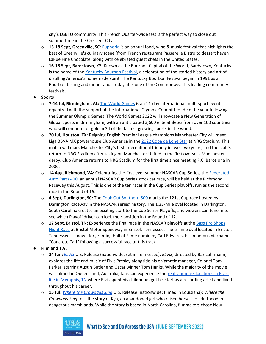city's LGBTQ community. This French Quarter-wide fest is the perfect way to close out summertime in the Crescent City.

- o **15-18 Sept, Greenville, SC**: [Euphoria](https://www.visitgreenvillesc.com/events/signature-events/euphoria/) is an annual food, wine & music festival that highlights the best of Greenville's culinary scene (from French restaurant Passerelle Bistro to dessert haven LaRue Fine Chocolate) along with celebrated guest chefs in the United States.
- o **16-18 Sept, Bardstown, KY**: Known as the Bourbon Capital of the World, Bardstown, Kentucky is the home of th[e Kentucky Bourbon Festival,](https://kybourbonfestival.com/) a celebration of the storied history and art of distilling America's homemade spirit. The Kentucky Bourbon Festival began in 1991 as a Bourbon tasting and dinner and. Today, it is one of the Commonwealth's leading community festivals.
- **Sports**
	- o **7-14 Jul, Birmingham, AL:** [The World Games](https://twg2022.com/) is an 11-day international multi-sport event organized with the support of the International Olympic Committee. Held the year following the Summer Olympic Games, The World Games 2022 will showcase a New Generation of Global Sports in Birmingham, with an anticipated 3,600 elite athletes from over 100 countries who will compete for gold in 34 of the fastest growing sports in the world.
	- o **20 Jul, Houston, TX:** Reigning English Premier League champions Manchester City will meet Liga BBVA MX powerhouse Club América in th[e 2022 Copa de Lone Star](http://www.lsse.net/copadelonestar) at NRG Stadium. This match will mark Manchester City's first international friendly in over two years, and the club's return to NRG Stadium after taking on Manchester United in the first overseas Manchester derby. Club América returns to NRG Stadium for the first time since meeting F.C. Barcelona in 2006.
	- o **14 Aug, Richmond, VA:** Celebrating the first-ever summer NASCAR Cup Series, the [Federated](https://www.richmondraceway.com/events/2022-fall-nascar-race/)  [Auto Parts 400,](https://www.richmondraceway.com/events/2022-fall-nascar-race/) an annual NASCAR Cup Series stock car race, will be held at the Richmond Raceway this August. This is one of the ten races in the Cup Series playoffs, run as the second race in the Round of 16.
	- o **4 Sept, Darlington, SC:** Th[e Cook Out](https://www.darlingtonraceway.com/events/2022-fall-nascar-race/) [Southern 500](https://www.darlingtonraceway.com/events/2022-fall-nascar-race/) marks the 121st Cup race hosted by Darlington Raceway in the NASCAR series' history. The 1.33-mile oval located in Darlington, South Carolina creates an exciting start to the Cup Series Playoffs, and viewers can tune in to see which Playoff driver can lock their position in the Round of 12.
	- o **17 Sept, Bristol, TN:** Experience the final race in the NASCAR playoffs at the [Bass Pro Shops](https://www.bristolmotorspeedway.com/events/bass-pro-shops-night-race/)  [Night Race](https://www.bristolmotorspeedway.com/events/bass-pro-shops-night-race/) at Bristol Motor Speedway in Bristol, Tennessee. The .5-mile oval located in Bristol, Tennessee is known for granting Hall of Fame nominee, Carl Edwards, his infamous nickname "Concrete Carl" following a successful race at this track.
- **Film and T.V.**
	- o **24 Jun:** *[ELVIS](https://elvis.warnerbros.com/)* U.S. Release (nationwide; set in Tennessee): *ELVIS*, directed by Baz Luhrmann, explores the life and music of Elvis Presley alongside his enigmatic manager, Colonel Tom Parker, starring Austin Butler and Oscar winner Tom Hanks. While the majority of the movie was filmed in Queensland, Australia, fans can experience the real landmark locations in Elvis' [life in Memphis, TN](https://www.memphistravel.com/ElvisMovie) where Elvis spent his childhood, got his start as a recording artist and lived throughout his career.
	- o **15 Jul:** *[Where the Crawdads Sing](https://www.wherethecrawdadssing.movie/)* U.S. Release (nationwide; filmed in Louisiana): *Where the Crawdads Sing* tells the story of Kya, an abandoned girl who raised herself to adulthood in dangerous marshlands. While the story is based in North Carolina, filmmakers chose New

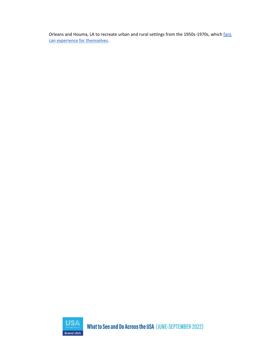<span id="page-12-0"></span>Orleans and Houma, LA to recreate urban and rural settings from the 1950s-1970s, which fans [can experience for themselves.](https://www.nola.com/entertainment_life/movies_tv/article_9205620c-e3e7-11eb-9780-77e4c4ec04cc.html)



What to See and Do Across the USA (JUNE-SEPTEMBER 2022)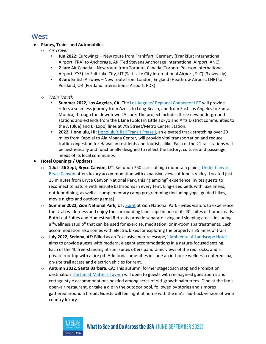## West

#### ● **Planes, Trains and Automobiles**

- o *Air Travel:*
	- **Jun 2022:** Eurowings New route from Frankfurt, Germany (Frankfurt International Airport, FRA) to Anchorage, AK (Ted Stevens Anchorage International Airport, ANC)
	- **2 Jun:** Air Canada New route from Toronto, Canada (Toronto Pearson International Airport, YYZ) to Salt Lake City, UT (Salt Lake City International Airport, SLC) (3x weekly)
	- **3 Jun:** British Airways New route from London, England (Heathrow Airport, LHR) to Portland, OR (Portland International Airport, PDX)
- o *Train Travel:*
	- **Summer 2022, Los Angeles, CA:** The [Los Angeles' Regional Connector LRT](https://www.metro.net/projects/connector-2/) will provide riders a seamless journey from Azusa to Long Beach, and from East Los Angeles to Santa Monica, through the downtown LA core. The project includes three new underground stations and extends from the L Line (Gold) in Little Tokyo and Arts District communities to the A (Blue) and E (Expo) lines at 7th Street/Metro Center Station.
	- **2022, Honolulu, HI:** [Honolulu's Rail Transit Phase I](https://honolulutransit.org/#gsc.tab=0), an elevated track stretching over 20 miles from Kapolei to Ala Moana Center, will provide vital transportation and reduce traffic congestion for Hawaiian residents and tourists alike. Each of the 21 rail stations will be aesthetically and functionally designed to reflect the history, culture, and passenger needs of its local community.
- **Hotel Openings / Updates**
	- o **1 Jul - 26 Sept, Bryce Canyon, UT:** Set upon 750 acres of high mountain plains[, Under Canvas](https://www.undercanvas.com/camps/bryce-canyon/)  [Bryce Canyon](https://www.undercanvas.com/camps/bryce-canyon/) offers luxury accommodation with expansive views of John's Valley. Located just 15 minutes from Bryce Canyon National Park, this "glamping" experience invites guests to reconnect to nature with ensuite bathrooms in every tent, king-sized beds with luxe linens, outdoor dining, as well as complimentary camp programming (including yoga, guided hikes, movie nights and outdoor games).
	- o **Summer 2022, Zion National Park, UT:** [Spirit](https://www.spiritzion.com/) at Zion National Park invites visitors to experience the Utah wilderness and enjoy the surrounding landscape in one of its 40 suites or homesteads. Both Leaf Suites and Homestead Retreats provide separate living and sleeping areas, including a "wellness studio" that can be used for exercise, meditation, or in-room spa treatments. Each accommodation also comes with electric bikes for exploring the property's 35 miles of trails.
	- o **July 2022, Sedona, AZ:** Billed as an "exclusive nature escape," [Ambiente: A Landscape Hotel](https://www.ambientesedona.com/) aims to provide guests with modern, elegant accommodations in a nature-focused setting. Each of the 40 free-standing atrium suites offers panoramic views of the red rocks, and a private rooftop with a fire pit. Additional amenities include an in-house wellness-centered spa, on-site trail access and electric vehicles for rent.
	- o **Autumn 2022, Santa Barbara, CA:** This autumn, former stagecoach stop and Prohibition destination [The Inn at Mattei's Tavern](https://aubergeresorts.com/matteistavern/) will open to guests with reimagined guestrooms and cottage-style accommodations nestled among acres of old-growth palm trees. Dine at the Inn's open-air restaurant, or take a dip in the outdoor pool, followed by stories and s'mores gathered around a firepit. Guests will feel right at home with the inn's laid-back version of wine country luxury.

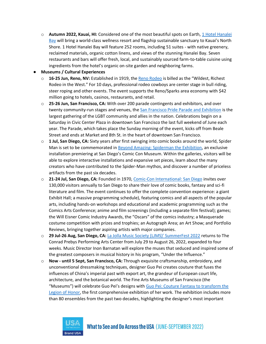o **Autumn 2022, Kauai, HI:** Considered one of the most beautiful spots on Earth, [1 Hotel Hanalei](https://www.1hotels.com/hanalei-bay)  [Bay](https://www.1hotels.com/hanalei-bay) will bring a world-class wellness resort and flagship sustainable sanctuary to Kauai's North Shore. 1 Hotel Hanalei Bay will feature 252 rooms, including 51 suites - with native greenery, reclaimed materials, organic cotton linens, and views of the stunning Hanalei Bay. Seven restaurants and bars will offer fresh, local, and sustainably sourced farm-to-table cuisine using ingredients from the hotel's organic on-site garden and neighboring farms.

#### ● **Museums / Cultural Experiences**

- o **16-25 Jun, Reno, NV:** Established in 1919, th[e Reno Rodeo](https://renorodeo.com/) is billed as the "Wildest, Richest Rodeo in the West." For 10 days, professional rodeo cowboys are center stage in bull riding, steer roping and other events. The event supports the Reno/Sparks area economy with \$42 million going to hotels, casinos, restaurants, and retail.
- o **25-26 Jun, San Francisco, CA:** With over 200 parade contingents and exhibitors, and over twenty community-run stages and venues, the [San Francisco Pride Parade and Exhibition](https://sfpride.org/) is the largest gathering of the LGBT community and allies in the nation. Celebrations begin on a Saturday in Civic Center Plaza in downtown San Francisco the last full weekend of June each year. The Parade, which takes place the Sunday morning of the event, kicks off from Beale Street and ends at Market and 8th St. in the heart of downtown San Francisco.
- o **1 Jul, San Diego, CA:** Sixty years after first swinging into comic books around the world, Spider Man is set to be commemorated in [Beyond Amazing: Spiderman the Exhibition,](https://www.marvel.com/articles/culture-lifestyle/beyond-amazing-spider-man-the-exhibition) an exclusive installation premiering at San Diego's Comic Con Museum. Within the galleries, visitors will be able to explore interactive installations and expansive set pieces, learn about the many creators who have contributed to the Spider-Man mythos, and discover a number of priceless artifacts from the past six decades.
- o **21-24 Jul, San Diego, CA:** Founded in 1970, [Comic-Con International: San Diego](https://www.comic-con.org/) invites over 130,000 visitors annually to San Diego to share their love of comic books, fantasy and sci-fi literature and film. The event continues to offer the complete convention experience: a giant Exhibit Hall; a massive programming schedule), featuring comics and all aspects of the popular arts, including hands-on workshops and educational and academic programming such as the Comics Arts Conference; anime and film screenings (including a separate film festival); games; the Will Eisner Comic Industry Awards, the "Oscars" of the comics industry; a Masquerade costume competition with prizes and trophies; an Autograph Area; an Art Show; and Portfolio Reviews, bringing together aspiring artists with major companies.
- o **29 Jul-26 Aug, San Diego, CA:** [La Jolla Music Society \(LJMS\)' SummerFest 2022](https://ljms.org/summerfest/) returns to The Conrad Prebys Performing Arts Center from July 29 to August 26, 2022, expanded to four weeks. Music Director Inon Barnatan will explore the muses that seduced and inspired some of the greatest composers in musical history in his program, "Under the Influence."
- o **Now - until 5 Sept, San Francisco, CA:** Through exquisite craftsmanship, embroidery, and unconventional dressmaking techniques, designer Guo Pei creates couture that fuses the influences of China's imperial past with export art, the grandeur of European court life, architecture, and the botanical world. The Fine Arts Museums of San Francisco (the "Museums") will celebrate Guo Pei's designs with Guo Pei: Couture Fantasy to transform the [Legion of Honor,](https://www.famsf.org/press-room/guo-pei-couture-fantasy-transform-legion-honor) the first comprehensive exhibition of her work. The exhibition includes more than 80 ensembles from the past two decades, highlighting the designer's most important

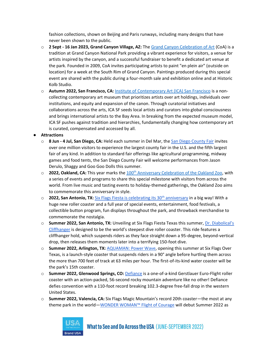fashion collections, shown on Beijing and Paris runways, including many designs that have never been shown to the public.

- o **2 Sept - 16 Jan 2023, Grand Canyon Village, AZ:** The [Grand Canyon Celebration of Art](https://www.grandcanyon.org/events/celebration-of-art/) (CoA) is a tradition at Grand Canyon National Park providing a vibrant experience for visitors, a venue for artists inspired by the canyon, and a successful fundraiser to benefit a dedicated art venue at the park. Founded in 2009, CoA invites participating artists to paint "en plein air" (outside on location) for a week at the South Rim of Grand Canyon. Paintings produced during this special event are shared with the public during a four-month sale and exhibition online and at Historic Kolb Studio.
- o **Autumn 2022, San Francisco, CA:** [Institute of Contemporary Art \(ICA\) San Francisco](https://www.icasanfrancisco.org/) is a noncollecting contemporary art museum that prioritizes artists over art holdings, individuals over institutions, and equity and expansion of the canon. Through curatorial initiatives and collaborations across the arts, ICA SF seeds local artists and curators into global consciousness and brings international artists to the Bay Area. In breaking from the expected museum model, ICA SF pushes against tradition and hierarchies, fundamentally changing how contemporary art is curated, compensated and accessed by all.
- **Attractions**
	- o **8 Jun - 4 Jul, San Diego, CA:** Held each summer in Del Mar, the [San Diego County Fair](https://sdfair.com/) invites over one million visitors to experience the largest county fair in the U.S. and the fifth largest fair of any kind. In addition to standard fair offerings like agricultural programming, midway games and food tents, the San Diego County Fair will welcome performances from Jason Derulo, Shaggy and Goo Goo Dolls this summer.
	- o **2022, Oakland, CA:** This year marks the [100](https://www.oaklandzoo.org/centennial)[th](https://www.oaklandzoo.org/centennial) [Anniversary Celebration of the Oakland Zoo,](https://www.oaklandzoo.org/centennial) with a series of events and programs to share this special milestone with visitors from across the world. From live music and tasting events to holiday-themed gatherings, the Oakland Zoo aims to commemorate this anniversary in style.
	- o **2022, San Antonio, TX:** Six [Flags Fiesta is celebrating its 30](https://www.sixflags.com/fiestatexas/events/30th-anniversary-celebration)[th](https://www.sixflags.com/fiestatexas/events/30th-anniversary-celebration) [anniversary](https://www.sixflags.com/fiestatexas/events/30th-anniversary-celebration) in a big way! With a huge new roller coaster and a full year of special events, entertainment, food festivals, a collectible button program, fun displays throughout the park, and throwback merchandise to commemorate the nostalgia.
	- o **Summer 2022, San Antonio, TX:** Unveiling at Six Flags Fiesta Texas this summer, [Dr. Diabolical's](https://www.sixflags.com/fiestatexas/newsroom/dr-diabolicals-cliffhanger)  [Cliffhanger](https://www.sixflags.com/fiestatexas/newsroom/dr-diabolicals-cliffhanger) is designed to be the world's steepest dive roller coaster. This ride features a cliffhanger hold, which suspends riders as they face straight down a 95-degree, beyond-vertical drop, then releases them moments later into a terrifying 150-foot dive.
	- o **Summer 2022, Arlington, TX:** [AQUAMAN: Power Wave,](https://www.sixflags.com/overtexas/attractions/aquaman-power-wave#:~:text=AQUAMAN%3A%20Power%20Wave%2C%20is%20a,be%20the%20park) opening this summer at Six Flags Over Texas, is a launch-style coaster that suspends riders in a 90° angle before hurtling them across the more than 700 feet of track at 63 miles per hour. The first-of-its-kind water coaster will be the park's 15th coaster.
	- o **Summer 2022, Glenwood Springs, CO:** [Defiance](https://www.glenwoodcaverns.com/thrill-rides/defiance-coaster/) is a one-of-a-kind Gerstlauer Euro-Flight roller coaster with an action-packed, 56-second rocky mountain adventure like no other! Defiance defies convention with a 110-foot record breaking 102.3-degree free-fall drop in the western United States.
	- o **Summer 2022, Valencia, CA:** Six Flags Magic Mountain's record 20th coaster—the most at any theme park in the world[—WONDER WOMAN™ Flight of Courage](https://www.sixflags.com/magicmountain/attractions/wonder-woman-flight-of-courage) will debut Summer 2022 as



What to See and Do Across the USA (JUNE-SEPTEMBER 2022)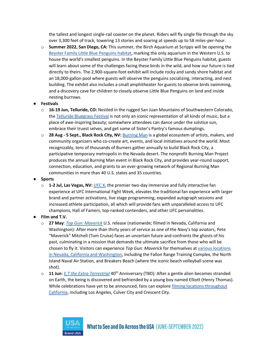the tallest and longest single-rail coaster on the planet. Riders will fly single file through the sky over 3,300 feet of track, towering 13 stories and soaring at speeds up to 58 miles-per-hour.

o **Summer 2022, San Diego, CA:** This summer, the Birch Aquarium at Scripps will be opening the [Beyster Family Little Blue](https://nam12.safelinks.protection.outlook.com/?url=https%3A%2F%2Faquarium.ucsd.edu%2Fvisit%2Fexhibits%2Fpenguins&data=05%7C01%7CMegan.Oliver%40edelman.com%7Cb173eaa1c29048859c7b08da2e0f19dc%7Cb824bfb3918e43c2bb1cdcc1ba40a82b%7C0%7C0%7C637872939664032612%7CUnknown%7CTWFpbGZsb3d8eyJWIjoiMC4wLjAwMDAiLCJQIjoiV2luMzIiLCJBTiI6Ik1haWwiLCJXVCI6Mn0%3D%7C3000%7C%7C%7C&sdata=jpbUBuEiHN%2BT1MhaE7mMeELNnlUZVvIyNuF4dqlPJKA%3D&reserved=0) Penguins habitat, marking the only aquarium in the Western U.S. to house the world's smallest penguins. In the Beyster Family Little Blue Penguins habitat, guests will learn about some of the challenges facing these birds in the wild, and how our future is tied directly to theirs. The 2,900-square-foot exhibit will include rocky and sandy shore habitat and an 18,000-gallon pool where guests will observe the penguins socializing, interacting, and nest building. The exhibit also includes a small amphitheater for guests to observe birds swimming, and a discovery cave for children to closely observe Little Blue Penguins on land and inside nesting burrows.

#### ● **Festivals**

- o **16-19 Jun, Telluride, CO:** Nestled in the rugged San Juan Mountains of Southwestern Colorado, the [Telluride Bluegrass Festival](https://bluegrass.com/telluride) is not only an iconic representation of all kinds of music, but a place of awe-inspiring beauty; somewhere attendees can dance under the solstice sun, embrace their truest selves, and get some of Sister's Pantry's famous dumplings.
- o **28 Aug - 5 Sept., Black Rock City, NV:** [Burning Man](https://burningman.org/) is a global ecosystem of artists, makers, and community organizers who co-create art, events, and local initiatives around the world. Most recognizably, tens of thousands of Burners gather annually to build Black Rock City, a participative temporary metropolis in the Nevada desert. The nonprofit Burning Man Project produces the annual Burning Man event in Black Rock City, and provides year-round support, connection, education, and grants to an ever-growing network of Regional Burning Man communities in more than 40 U.S. states and 35 countries.
- **Sports**
	- o **1-2 Jul, Las Vegas, NV:** [UFC X,](https://ufcvip.com/d/ufc-x?utm_source=onlocationexp.com&utm_medium=referral&utm_campaign=ufc_x-schedule_page) the premier two-day immersive and fully interactive fan experience at UFC International Fight Week, elevates the traditional fan experience with larger brand and partner activations, live stage programming, expanded autograph sessions and increased athlete participation, all which will provide fans with unparalleled access to UFC champions, Hall of Famers, top-ranked contenders, and other UFC personalities.
- **Film and T.V.**
	- o **27 May**: *[Top Gun: Maverick](https://www.topgunmovie.com/)* U.S. release (nationwide; filmed in Nevada, California and Washington): After more than thirty years of service as one of the Navy's top aviators, Pete "Maverick" Mitchell (Tom Cruise) faces an uncertain future and confronts the ghosts of his past, culminating in a mission that demands the ultimate sacrifice from those who will be chosen to fly it. Visitors can experience *Top Gun: Maverick* for themselves at [various locations](https://thecinemaholic.com/where-was-top-gun-maverick-filmed-2/)  [in Nevada, California and Washington,](https://thecinemaholic.com/where-was-top-gun-maverick-filmed-2/) including the Fallon Range Training Complex, the North Island Naval Air Station, and Breakers Beach (where the iconic beach volleyball scene was shot).
	- o **11 Jun**: *[E.T the Extra-Terrestrial](https://www.imdb.com/title/tt0083866/)* 40th Anniversary (TBD): After a gentle alien becomes stranded on Earth, the being is discovered and befriended by a young boy named Elliott (Henry Thomas). While celebrations have yet to be announced, fans can explore filming locations throughout [California,](https://www.latlong.net/location/e-t-1982-locations-83#:~:text=E.T.%20was%20filmed%20in%20Crescent,by%20Michael%20Bryant%20on%20Unsplash.) including Los Angeles, Culver City and Crescent City.